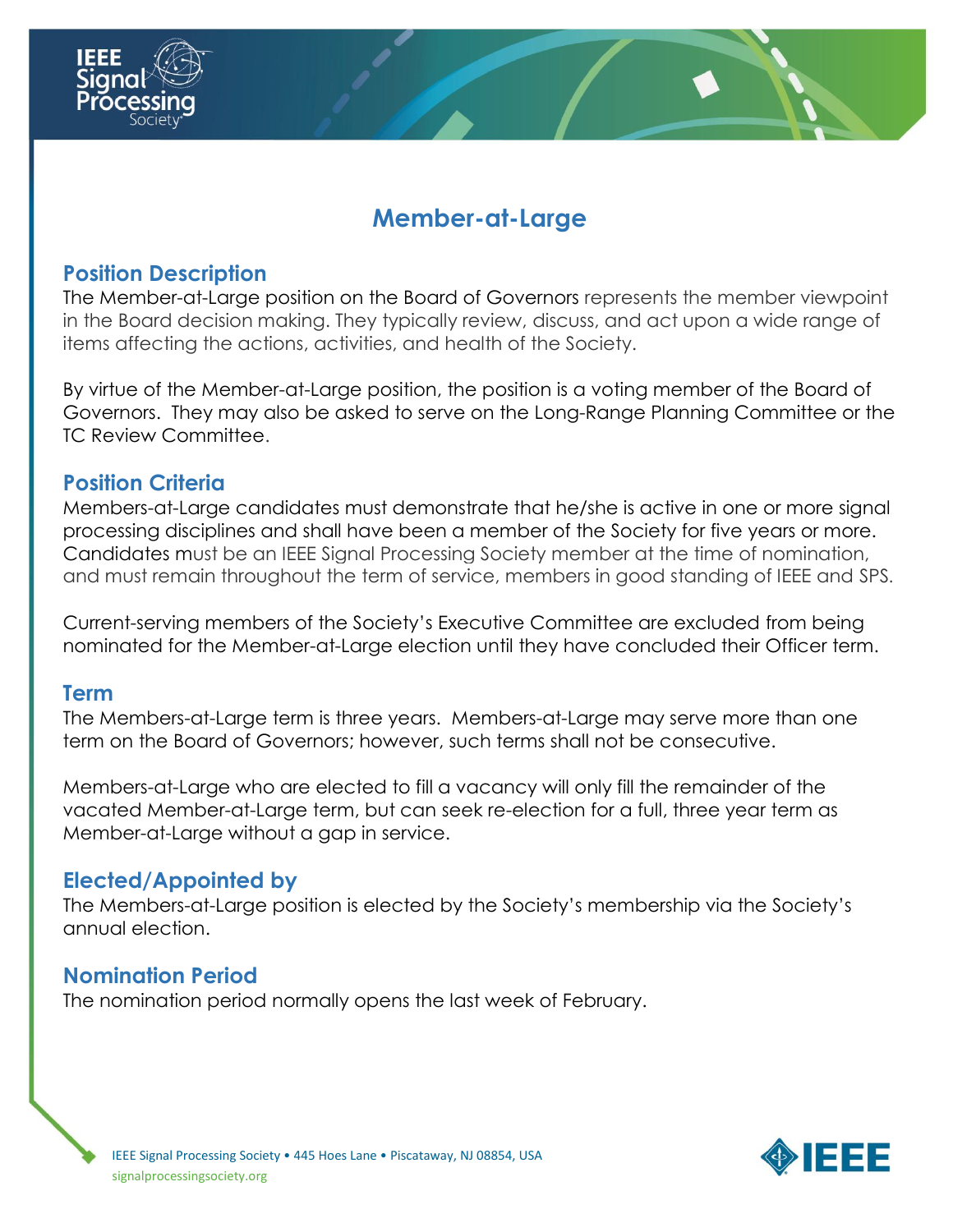

## **Position Description**

The Member-at-Large position on the Board of Governors represents the member viewpoint in the Board decision making. They typically review, discuss, and act upon a wide range of items affecting the actions, activities, and health of the Society.

By virtue of the Member-at-Large position, the position is a voting member of the Board of Governors. They may also be asked to serve on the Long-Range Planning Committee or the TC Review Committee.

## **Position Criteria**

Members-at-Large candidates must demonstrate that he/she is active in one or more signal processing disciplines and shall have been a member of the Society for five years or more. Candidates must be an IEEE Signal Processing Society member at the time of nomination, and must remain throughout the term of service, members in good standing of IEEE and SPS.

Current-serving members of the Society's Executive Committee are excluded from being nominated for the Member-at-Large election until they have concluded their Officer term.

## **Term**

The Members-at-Large term is three years. Members-at-Large may serve more than one term on the Board of Governors; however, such terms shall not be consecutive.

Members-at-Large who are elected to fill a vacancy will only fill the remainder of the vacated Member-at-Large term, but can seek re-election for a full, three year term as Member-at-Large without a gap in service.

## **Elected/Appointed by**

The Members-at-Large position is elected by the Society's membership via the Society's annual election.

## **Nomination Period**

The nomination period normally opens the last week of February.